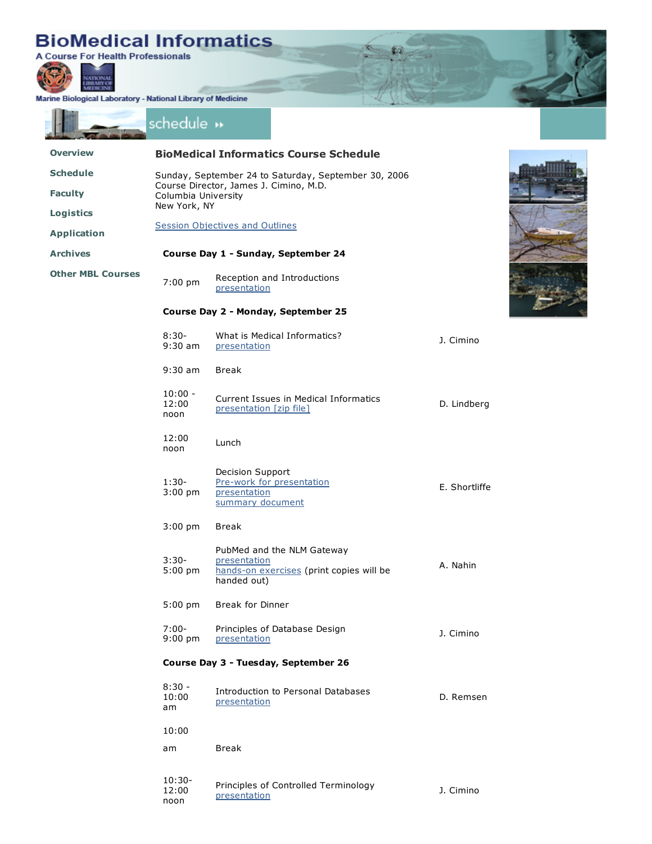## **BioMedical Informatics**<br>A Course For Health Professionals



Marine Biological Laboratory - National Library of Medicine

noon

|                          | schedule »                                                    |                                                      |                                                                        |               |  |  |
|--------------------------|---------------------------------------------------------------|------------------------------------------------------|------------------------------------------------------------------------|---------------|--|--|
| <b>Overview</b>          |                                                               |                                                      | <b>BioMedical Informatics Course Schedule</b>                          |               |  |  |
| <b>Schedule</b>          | Sunday, September 24 to Saturday, September 30, 2006          |                                                      |                                                                        |               |  |  |
| <b>Faculty</b>           | Course Director, James J. Cimino, M.D.<br>Columbia University |                                                      |                                                                        |               |  |  |
| <b>Logistics</b>         | New York, NY                                                  |                                                      |                                                                        |               |  |  |
| <b>Application</b>       | <b>Session Objectives and Outlines</b>                        |                                                      |                                                                        |               |  |  |
| <b>Archives</b>          | Course Day 1 - Sunday, September 24                           |                                                      |                                                                        |               |  |  |
| <b>Other MBL Courses</b> | 7:00 pm                                                       | presentation                                         | Reception and Introductions                                            |               |  |  |
|                          | Course Day 2 - Monday, September 25                           |                                                      |                                                                        |               |  |  |
|                          | $8:30-$<br>$9:30$ am                                          | presentation                                         | What is Medical Informatics?                                           | J. Cimino     |  |  |
|                          | $9:30$ am                                                     | <b>Break</b>                                         |                                                                        |               |  |  |
|                          | $10:00 -$<br>12:00<br>noon                                    | presentation [zip file]                              | Current Issues in Medical Informatics                                  | D. Lindberg   |  |  |
|                          | 12:00<br>noon                                                 | Lunch                                                |                                                                        |               |  |  |
|                          | $1:30-$<br>$3:00$ pm                                          | Decision Support<br>presentation<br>summary document | Pre-work for presentation                                              | E. Shortliffe |  |  |
|                          | $3:00$ pm                                                     | <b>Break</b>                                         |                                                                        |               |  |  |
|                          | $3:30-$<br>$5:00$ pm                                          | presentation<br>handed out)                          | PubMed and the NLM Gateway<br>hands-on exercises (print copies will be | A. Nahin      |  |  |
|                          | $5:00$ pm                                                     | <b>Break for Dinner</b>                              |                                                                        |               |  |  |
|                          | $7:00-$<br>$9:00$ pm                                          | presentation                                         | Principles of Database Design                                          | J. Cimino     |  |  |
|                          | Course Day 3 - Tuesday, September 26                          |                                                      |                                                                        |               |  |  |
|                          | $8:30 -$<br>10:00<br>am                                       | presentation                                         | Introduction to Personal Databases                                     | D. Remsen     |  |  |
|                          | 10:00                                                         |                                                      |                                                                        |               |  |  |
|                          | am                                                            | <b>Break</b>                                         |                                                                        |               |  |  |
|                          | $10:30-$<br>12:00                                             | presentation                                         | Principles of Controlled Terminology                                   | J. Cimino     |  |  |

×.

粒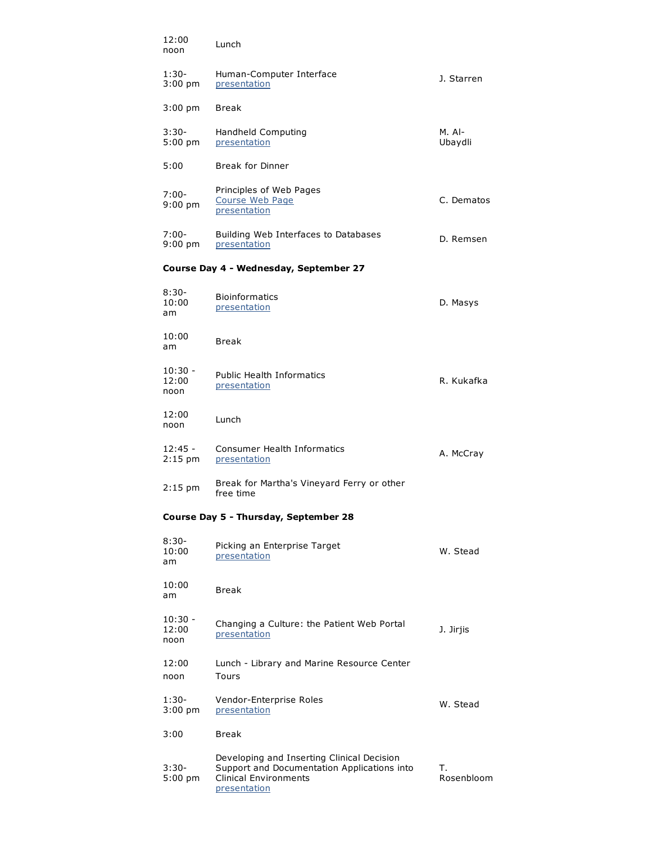| 12:00<br>noon              | Lunch                                                                                                                                     |                     |
|----------------------------|-------------------------------------------------------------------------------------------------------------------------------------------|---------------------|
| $1:30-$<br>$3:00$ pm       | Human-Computer Interface<br>presentation                                                                                                  | J. Starren          |
| $3:00 \text{ pm}$          | Break                                                                                                                                     |                     |
| $3:30-$<br>$5:00$ pm       | Handheld Computing<br>presentation                                                                                                        | $M.$ Al-<br>Ubaydli |
| 5:00                       | <b>Break for Dinner</b>                                                                                                                   |                     |
| 7:00-<br>$9:00$ pm         | Principles of Web Pages<br>Course Web Page<br>presentation                                                                                | C. Dematos          |
| 7:00-<br>$9:00 \text{ pm}$ | Building Web Interfaces to Databases<br>presentation                                                                                      | D. Remsen           |
|                            | Course Day 4 - Wednesday, September 27                                                                                                    |                     |
| $8:30-$<br>10:00<br>am     | <b>Bioinformatics</b><br>presentation                                                                                                     | D. Masys            |
| 10:00<br>am                | <b>Break</b>                                                                                                                              |                     |
| $10:30 -$<br>12:00<br>noon | <b>Public Health Informatics</b><br>presentation                                                                                          | R. Kukafka          |
| 12:00<br>noon              | Lunch                                                                                                                                     |                     |
| $12:45 -$<br>$2:15$ pm     | Consumer Health Informatics<br>presentation                                                                                               | A. McCray           |
| $2:15$ pm                  | Break for Martha's Vineyard Ferry or other<br>free time                                                                                   |                     |
|                            | Course Day 5 - Thursday, September 28                                                                                                     |                     |
| $8:30-$<br>10:00<br>am     | Picking an Enterprise Target<br>presentation                                                                                              | W. Stead            |
| 10:00<br>am                | <b>Break</b>                                                                                                                              |                     |
| $10:30 -$<br>12:00<br>noon | Changing a Culture: the Patient Web Portal<br>presentation                                                                                | J. Jirjis           |
| 12:00<br>noon              | Lunch - Library and Marine Resource Center<br>Tours                                                                                       |                     |
| 1:30-<br>$3:00$ pm         | Vendor-Enterprise Roles<br>presentation                                                                                                   | W. Stead            |
| 3:00                       | <b>Break</b>                                                                                                                              |                     |
| 3:30-<br>$5:00$ pm         | Developing and Inserting Clinical Decision<br>Support and Documentation Applications into<br><b>Clinical Environments</b><br>presentation | т.<br>Rosenbloom    |